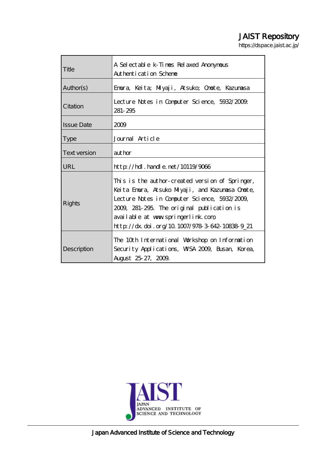# JAIST Repository

https://dspace.jaist.ac.jp/

| Title               | A Selectable k-Times Relaxed Anonymous<br>Authentication Scheme                                                                                                                                                                                                                           |
|---------------------|-------------------------------------------------------------------------------------------------------------------------------------------------------------------------------------------------------------------------------------------------------------------------------------------|
| Author(s)           | Emura, Keita; Milyaji, Atsuko; Omote, Kazumasa                                                                                                                                                                                                                                            |
| Citation            | Lecture Notes in Computer Science, 5932/2009.<br>281-295                                                                                                                                                                                                                                  |
| <b>Issue Date</b>   | 2009                                                                                                                                                                                                                                                                                      |
| <b>Type</b>         | Journal Article                                                                                                                                                                                                                                                                           |
| <b>Text version</b> | aut hor                                                                                                                                                                                                                                                                                   |
| URL                 | $http$ // $hdl$ . handle. net/10119/9066                                                                                                                                                                                                                                                  |
| Rights              | This is the author-created version of Springer,<br>Keita Emura, Atsuko Milyaji, and Kazumasa Omote,<br>Lecture Notes in Computer Science, 5932/2009,<br>2009, 281-295. The original publication is<br>available at www.springerlink.com<br>http://dx.doi.org/10.1007/978-3-642-10838-9_21 |
| Description         | The 10th International Workshop on Information<br>Security Applications, WSA 2009, Busan, Korea,<br>August 25 27, 2009.                                                                                                                                                                   |



Japan Advanced Institute of Science and Technology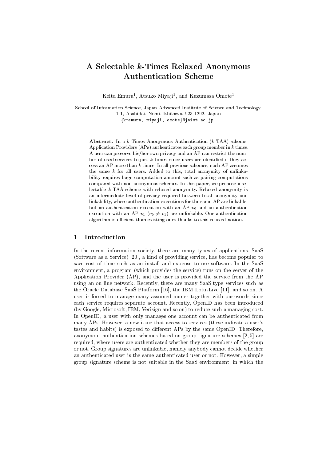## A Selectable k-Times Relaxed Anonymous **Authentication Scheme**

Keita Emura<sup>1</sup>, Atsuko Miyaji<sup>1</sup>, and Kazumasa Omote<sup>1</sup>

School of Information Science, Japan Advanced Institute of Science and Technology, 1-1, Asahidai, Nomi, Ishikawa, 923-1292, Japan {k-emura, miyaji, omote}@jaist.ac.jp

**Abstract.** In a  $k$ -Times Anonymous Authentication  $(k$ -TAA) scheme, Application Providers (APs) authenticates each group member in  $k$  times. A user can preserve his/her own privacy and an AP can restrict the number of used services to just  $k$ -times, since users are identified if they access an AP more than  $k$  times. In all previous schemes, each AP assumes the same  $k$  for all users. Added to this, total anonymity of unlinkability requires large computation amount such as pairing computations compared with non-anonymous schemes. In this paper, we propose a selectable  $k$ -TAA scheme with relaxed anonymity. Relaxed anonymity is an intermediate level of privacy required between total anonymity and linkability, where authentication executions for the same AP are linkable, but an authentication execution with an AP  $v_0$  and an authentication execution with an AP  $v_1$  ( $v_0 \neq v_1$ ) are unlinkable. Our authentication algorithm is efficient than existing ones thanks to this relaxed notion.

#### Introduction  $\mathbf{1}$

In the recent information society, there are many types of applications. SaaS (Software as a Service) [20], a kind of providing service, has become popular to save cost of time such as an install and expense to use software. In the SaaS environment, a program (which provides the service) runs on the server of the Application Provider (AP), and the user is provided the service from the AP using an on-line network. Recently, there are many SaaS-type services such as the Oracle Database SaaS Platform [16], the IBM LotusLive [11], and so on. A user is forced to manage many assumed names together with passwords since each service requires separate account. Recently, OpenID has been introduced (by Google, Microsoft, IBM, Verisign and so on) to reduce such a managing cost. In OpenID, a user with only manages one account can be authenticated from many APs. However, a new issue that access to services (these indicate a user's tastes and habits) is exposed to different APs by the same OpenID. Therefore, anonymous authentication schemes based on group signature schemes  $[2,5]$  are required, where users are authenticated whether they are members of the group or not. Group signatures are unlinkable, namely anybody cannot decide whether an authenticated user is the same authenticated user or not. However, a simple group signature scheme is not suitable in the SaaS environment, in which the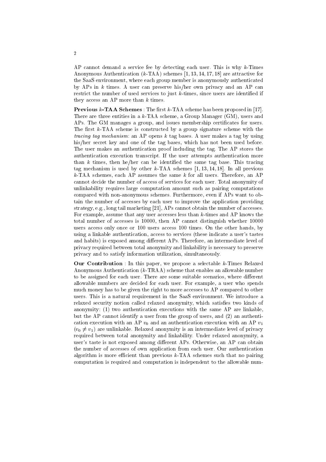AP cannot demand a service fee by detecting each user. This is why  $k$ -Times Anonymous Authentication  $(k-TAA)$  schemes [1, 13, 14, 17, 18] are attractive for the SaaS environment, where each group member is anonymously authenticated by APs in  $k$  times. A user can preserve his/her own privacy and an AP can restrict the number of used services to just  $k$ -times, since users are identified if they access an AP more than  $k$  times.

**Previous k-TAA Schemes**: The first k-TAA scheme has been proposed in [17]. There are three entities in a  $k$ -TAA scheme, a Group Manager (GM), users and APs. The GM manages a group, and issues membership certificates for users. The first k-TAA scheme is constructed by a group signature scheme with the tracing tag mechanism: an AP opens  $k$  tag bases. A user makes a tag by using his/her secret key and one of the tag bases, which has not been used before. The user makes an authentication proof including the tag. The AP stores the authentication execution transcript. If the user attempts authentication more than  $k$  times, then he/her can be identified the same tag base. This tracing tag mechanism is used by other k-TAA schemes  $[1, 13, 14, 18]$ . In all previous k-TAA schemes, each AP assumes the same  $k$  for all users. Therefore, an AP cannot decide the number of access of services for each user. Total anonymity of unlinkability requires large computation amount such as pairing computations compared with non-anonymous schemes. Furthermore, even if APs want to obtain the number of accesses by each user to improve the application providing strategy, e.g., long tail marketing [21], APs cannot obtain the number of accesses. For example, assume that any user accesses less than  $k$ -times and AP knows the total number of accesses is 10000, then AP cannot distinguish whether 10000 users access only once or 100 users access 100 times. On the other hands, by using a linkable authentication, access to services (these indicate a user's tastes and habits) is exposed among different APs. Therefore, an intermediate level of privacy required between total anonymity and linkability is necessary to preserve privacy and to satisfy information utilization, simultaneously.

**Our Contribution**: In this paper, we propose a selectable  $k$ -Times Relaxed Anonymous Authentication  $(k\text{-TRA})$  scheme that enables an allowable number to be assigned for each user. There are some suitable scenarios, where different allowable numbers are decided for each user. For example, a user who spends much money has to be given the right to more accesses to AP compared to other users. This is a natural requirement in the SaaS environment. We introduce a relaxed security notion called relaxed anonymity, which satisfies two kinds of anonymity: (1) two authentication executions with the same AP are linkable, but the AP cannot identify a user from the group of users, and (2) an authentication execution with an AP  $v_0$  and an authentication execution with an AP  $v_1$  $(v_0 \neq v_1)$  are unlinkable. Relaxed anonymity is an intermediate level of privacy required between total anonymity and linkability. Under relaxed anonymity, a user's taste is not exposed among different APs. Otherwise, an AP can obtain the number of accesses of own application from each user. Our authentication algorithm is more efficient than previous  $k$ -TAA schemes such that no pairing computation is required and computation is independent to the allowable num-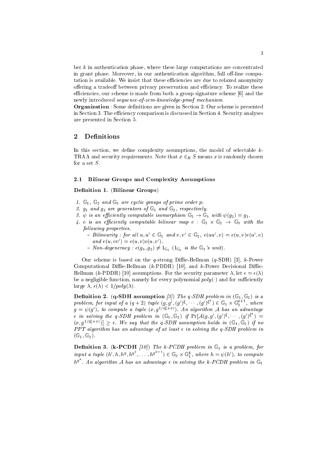ber  $k$  in authentication phase, where these large computations are concentrated in grant phase. Moreover, in our authentication algorithm, full off-line computation is available. We insist that these efficiencies are due to relaxed anonymity offering a tradeoff between privacy preservation and efficiency. To realize these efficiencies, our scheme is made from both a group signature scheme [6] and the newly introduced *sequence-of-zero-knowledge-proof mechanism*.

Organization : Some definitions are given in Section 2. Our scheme is presented in Section 3. The efficiency comparison is discussed in Section 4. Security analyses are presented in Section 5.

#### $\overline{2}$ Definitions

In this section, we define complexity assumptions, the model of selectable  $k$ -TRAA and security requirements. Note that  $x \in_R S$  means x is randomly chosen for a set  $S$ .

#### **Bilinear Groups and Complexity Assumptions**  $2.1$

## Definition 1. (Bilinear Groups)

- 1.  $\mathbb{G}_1$ ,  $\mathbb{G}_2$  and  $\mathbb{G}_3$  are cyclic groups of prime order p.
- 2.  $g_1$  and  $g_2$  are generators of  $\mathbb{G}_1$  and  $\mathbb{G}_2$ , respectively.
- 3.  $\psi$  is an efficiently computable isomorphism  $\mathbb{G}_2 \to \mathbb{G}_1$  with  $\psi(g_2) = g_1$ .
- 4. e is an efficiently computable bilinear map  $e : \mathbb{G}_1 \times \mathbb{G}_2 \to \mathbb{G}_3$  with the following properties.
	- Bilinearity : for all  $u, u' \in \mathbb{G}_1$  and  $v, v' \in \mathbb{G}_2$ ,  $e(uu', v) = e(u, v)e(u', v)$ and  $e(u, vv') = e(u, v)e(u, v')$ .

- Non-degeneracy :  $e(g_1, g_2) \neq 1_{\mathbb{G}_3}$  ( $1_{\mathbb{G}_3}$  is the  $\mathbb{G}_3$ 's unit)

Our scheme is based on the q-strong Diffie-Hellman  $(q\text{-SDH})$  [3], k-Power Computational Diffie-Hellman  $(k$ -PDDH) [10], and  $k$ -Power Decisional Diffie-Hellman (k-PDDH) [10] assumptions. For the security parameter  $\lambda$ , let  $\epsilon = \epsilon(\lambda)$ be a negligible function, namely for every polynomial  $poly(\cdot)$  and for sufficiently large  $\lambda$ ,  $\epsilon(\lambda) < 1/poly(\lambda)$ .

**Definition 2.** (q-SDH assumption [3]) The q-SDH problem in  $(\mathbb{G}_1, \mathbb{G}_2)$  is a problem, for input of a  $(q+2)$  tuple  $(g, g', (g')^{\xi}, \dots, (g')^{\xi^q}) \in \mathbb{G}_1 \times \mathbb{G}_2^{q+1}$ , where  $g = \psi(g')$ , to compute a tuple  $(x, g^{1/(\xi+x)})$ . A  $\epsilon$  in solving the q-SDH problem in  $(\mathbb{G}_1, \mathbb{G}_2)$  if  $Pr[\mathcal{A}(g, g', (g')^{\xi}, \cdots, (g')^{\xi^q})] =$  $(x, g^{1/(\xi+x)})$   $\geq \epsilon$ . We say that the q-SDH assumption holds in  $(\mathbb{G}_1, \mathbb{G}_2)$  if no PPT algorithm has an advantage of at least  $\epsilon$  in solving the q-SDH problem in  $(\mathbb{G}_1, \mathbb{G}_2).$ 

**Definition 3.** (**k-PCDH** [10]) The k-PCDH problem in  $\mathbb{G}_1$  is a problem, for input a tuple  $(h', h, h^y, h^{y^2}, \ldots, h^{y^{k-1}}) \in \mathbb{G}_2 \times \mathbb{G}_1^k$ , where  $h = \psi(h')$ , to compute  $h^{y^k}$ . An algorithm A has an advantage  $\epsilon$  in solving the k-PCDH problem in  $\mathbb{G}_1$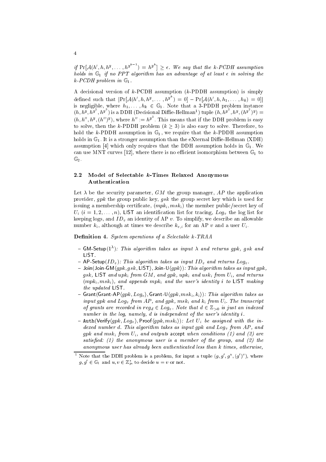if  $Pr[\mathcal{A}(h', h, h^y, \dots, h^{y^{k-1}})] = h^{y^k}] \ge \epsilon$ . We say that the k-PCDH assumption holds in  $\mathbb{G}_1$  if no PPT algorithm has an advantage of at least  $\epsilon$  in solving the  $k$ -PCDH problem in  $\mathbb{G}_1$ .

A decisional version of  $k$ -PCDH assumption  $(k$ -PDDH assumption) is simply defined such that  $|\Pr[\mathcal{A}(h', h, h^y, \dots, h^{y^k}) = 0] - \Pr[\mathcal{A}(h', h, h_1, \dots, h_k) = 0]|$ is negligible, where  $h_1, \ldots, h_k \in \mathbb{G}_1$ . Note that a 3-PDDH problem instance  $(h, h^y, h^{y^2}, h^{y^3})$  is a DDH (Decisional Diffie-Hellman<sup>1</sup>) tuple  $(h, h^{y^2}, h^y, (h^{y^2})^y)$  $(h, h'', h'', (h'')')$ , where  $h'' := h^{y^2}$ . This means that if the DDH problem is easy to solve, then the k-PDDH problem  $(k \geq 3)$  is also easy to solve. Therefore, to hold the k-PDDH assumption in  $\mathbb{G}_1$ , we require that the k-PDDH assumption holds in  $\mathbb{G}_1$ . It is a stronger assumption than the eXternal Diffie-Hellman (XDH) assumption [4] which only requires that the DDH assumption holds in  $\mathbb{G}_1$ . We can use MNT curves [12], where there is no efficient isomorphism between  $\mathbb{G}_1$  to  $\mathbb{G}_2$  .

#### $2.2$ Model of Selectable k-Times Relaxed Anonymous Authentication

Let  $\lambda$  be the security parameter, GM the group manager, AP the application provider, gpk the group public key, gsk the group secret key which is used for issuing a membership certificate,  $(mpk<sub>i</sub>, msk<sub>i</sub>)$  the member public/secret key of  $U_i$   $(i = 1, 2, ..., n)$ , LIST an identification list for tracing,  $Log_v$  the log list for keeping logs, and  $ID_v$  an identity of AP v. To simplify, we describe an allowable number  $k_i$ , although at times we describe  $k_{n,i}$  for an AP v and a user  $U_i$ .

### **Definition 4.** System operations of a Selectable k-TRAA

- GM-Setup( $1^{\lambda}$ ): This algorithm takes as input  $\lambda$  and returns gpk, gsk and LIST.
- AP-Setup(ID<sub>n</sub>): This algorithm takes as input ID<sub>n</sub> and returns  $Log_n$ .
- Join (Join-GM(qpk, gsk, LIST), Join-U(qpk)): This algorithm takes as input gpk,  $gsk$ , LIST and upk<sub>i</sub> from GM, and gpk, upk<sub>i</sub> and usk<sub>i</sub> from  $U_i$ , and returns  $(mpk<sub>i</sub>,msk<sub>i</sub>)$ , and appends mpk<sub>i</sub> and the user's identity i to LIST making the updated LIST.
- Grant (Grant-AP $\langle gpk, Log_v \rangle$ , Grant-U $\langle gpk, msk_i, k_i \rangle$ ): This algorithm takes as input gpk and Log<sub>v</sub> from AP, and gpk,  $msk_i$  and  $k_i$  from  $U_i$ . The transcript of grants are recorded in  $reg_d \in Log_v$ . Note that  $d \in \mathbb{Z}_{>0}$  is just an indexed number in the log, namely, d is independent of the user's identity i.
- Auth(Verify  $\langle gpk, Log_v \rangle$ , Proof  $\langle gpk, msk_i \rangle$ ): Let  $U_i$  be assigned with the indexed number d. This algorithm takes as input gpk and  $Log_v$  from AP, and gpk and msk; from  $U_i$ , and outputs accept when conditions (1) and (2) are satisfied: (1) the anonymous user is a member of the group, and  $(2)$  the  $anonymous$  user has already been authenticated less than  $k$  times, otherwise,

<sup>&</sup>lt;sup>1</sup> Note that the DDH problem is a problem, for input a tuple  $(g, g', g'', (g')'')$ , where  $g, g' \in \mathbb{G}_1$  and  $u, v \in \mathbb{Z}_p^*$ , to decide  $u = v$  or not.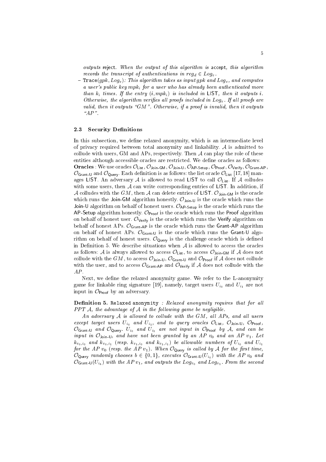outputs reject. When the output of this algorithm is accept, this algorithm records the transcript of authentications in  $reg_d \in Log_v$ .

- Trace(gpk,  $Log_v$ ): This algorithm takes as input gpk and  $Log_v$ , and computes a user's public key  $mpk_i$  for a user who has already been authenticated more than  $k_i$  times. If the entry  $(i, mpk_i)$  is included in LIST, then it outputs i. Otherwise, the algorithm verifies all proofs included in  $Log_v$ . If all proofs are valid, then it outputs "GM". Otherwise, if a proof is invalid, then it outputs " $AP$ ".

#### 2.3 **Security Definitions**

In this subsection, we define relaxed anonymity, which is an intermediate level of privacy required between total anonymity and linkability.  $A$  is admitted to collude with users, GM and APs, respectively. Then  $A$  can play the role of these entities although accessible oracles are restricted. We define oracles as follows: **Oracles**: We use oracles  $\mathcal{O}_{List}$ ,  $\mathcal{O}_{Join-GM}$ ,  $\mathcal{O}_{Join-U}$ ,  $\mathcal{O}_{AP-Setup}$ ,  $\mathcal{O}_{Proof}$ ,  $\mathcal{O}_{Verify}$ ,  $\mathcal{O}_{Grant-AP}$ ,  $\mathcal{O}_{\mathsf{Grant-}U}$  and  $\mathcal{O}_{\mathsf{Query}}$ . Each definition is as follows: the list oracle  $\mathcal{O}_{\mathsf{List}}$  [17, 18] manages LIST. An adversary A is allowed to read LIST to call  $\mathcal{O}_{List}$ . If A colludes with some users, then  ${\mathcal A}$  can write corresponding entries of LIST. In addition, if A colludes with the  $GM$ , then A can delete entries of LIST.  $\mathcal{O}_{\text{Join-GM}}$  is the oracle which runs the Join-GM algorithm honestly.  $\mathcal{O}_{\text{Join-1}}$  is the oracle which runs the Join-U algorithm on behalf of honest users.  $\mathcal{O}_{AP\text{-}Setup}$  is the oracle which runs the AP-Setup algorithm honestly.  $\mathcal{O}_{Proof}$  is the oracle which runs the Proof algorithm on behalf of honest user.  $\mathcal{O}_{\text{Verify}}$  is the oracle which runs the Verify algorithm on behalf of honest APs.  $\mathcal{O}_{\text{Grant-AP}}$  is the oracle which runs the Grant-AP algorithm on behalf of honest APs.  $\mathcal{O}_{\mathsf{Grant-U}}$  is the oracle which runs the Grant-U algorithm on behalf of honest users.  $\mathcal{O}_{\mathsf{Query}}$  is the challenge oracle which is defined in Definition 5. We describe situations when  $A$  is allowed to access the oracles as follows: A is always allowed to access  $\mathcal{O}_{List}$ , to access  $\mathcal{O}_{Join-GM}$  if A does not collude with the  $GM$ , to access  $\mathcal{O}_{Join-U}$ ,  $\mathcal{O}_{Grant-U}$  and  $\mathcal{O}_{Proof}$  if A does not collude with the user, and to access  $\mathcal{O}_{\mathsf{Grant-AP}}$  and  $\mathcal{O}_{\mathsf{Verify}}$  if A does not collude with the  $AP.$ 

Next, we define the relaxed anonymity game. We refer to the L-anonymity game for linkable ring signature [19], namely, target users  $U_{i_0}$  and  $U_{i_1}$  are not input in  $\mathcal{O}_{Proof}$  by an adversary.

Definition 5. Relaxed anonymity : Relaxed anonymity requires that for all  $PPT\mathcal{A}$ , the advantage of  $\mathcal A$  in the following game be negligible.

An adversary A is allowed to collude with the GM, all APs, and all users except target users  $U_{i_0}$  and  $U_{i_1}$ , and to query oracles  $\mathcal{O}_{List}$ ,  $\mathcal{O}_{Join-U}$ ,  $\mathcal{O}_{Proof}$ ,  $\mathcal{O}_{Grant-U}$  and  $\mathcal{O}_{Query}$ .  $U_{i_0}$  and  $U_{i_1}$  are not input in  $\mathcal{O}_{Proof}$  by A, and can be input in  $\mathcal{O}_{\text{Join U}}$ , and have not been granted by an AP  $v_0$  and an AP  $v_1$ . Let  $k_{v_0,i_0}$  and  $k_{v_0,i_1}$  (resp.  $k_{v_1,i_0}$  and  $k_{v_1,i_1}$ ) be allowable numbers of  $U_{i_0}$  and  $U_{i_1}$ for the AP  $v_0$  (resp. the AP  $v_1$ ). When  $\mathcal{O}_{\mathsf{Query}}$  is called by A for the first time,  $\mathcal{O}_{\mathsf{Query}}$  randomly chooses  $b \in \{0,1\}$ , executes  $\mathcal{O}_{\mathsf{Grant}\text{-}\mathsf{U}}(U_{i_0})$  with the AP  $v_0$  and  $\mathcal{O}_{\mathsf{Grant\text{-}U}}(U_{i_b})$  with the AP  $v_1$ , and outputs the  $Log_{v_0}$  and  $Log_{v_1}$ . From the second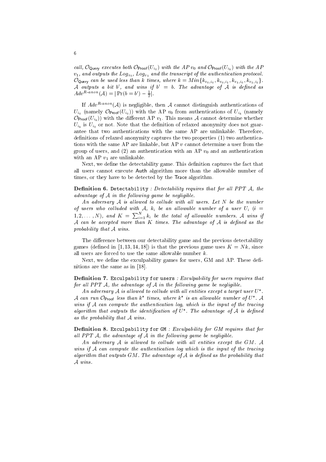call,  $\mathcal{O}_{\mathsf{Query}}$  executes both  $\mathcal{O}_{\mathsf{Proof}}(U_{i_0})$  with the AP  $v_0$  and  $\mathcal{O}_{\mathsf{Proof}}(U_{i_b})$  with the AP  $v_1$ , and outputs the  $Log_{v_0}$ ,  $Log_{v_1}$  and the transcript of the authentication protocol.  $\mathcal{O}_{\mathsf{Query}}$  can be used less than k times, where  $k = Min\{k_{v_0, i_0}, k_{v_0, i_1}, k_{v_1, i_0}, k_{v_1, i_1}\}.$ A outputs a bit b', and wins if  $b' = b$ . The advantage of A is defined as  $Adv^{R\text{-}a\,non}(\mathcal{A}) = |\Pr(b = b') - \frac{1}{2}|.$ 

If  $Adv^{R\text{-}anon}(\mathcal{A})$  is negligible, then  $\mathcal A$  cannot distinguish authentications of  $U_{i_0}$  (namely  $\mathcal{O}_{\text{Proof}}(U_{i_0})$ ) with the AP  $v_0$  from authentications of  $U_{i_0}$  (namely  $\mathcal{O}_{\mathsf{Proof}}(U_{i_k})$  with the different AP  $v_1$ . This means A cannot determine whether  $U_{i_b}$  is  $U_{i_0}$  or not. Note that the definition of relaxed anonymity does not guarantee that two authentications with the same AP are unlinkable. Therefore, definitions of relaxed anonymity captures the two properties (1) two authentications with the same AP are linkable, but AP  $v$  cannot determine a user from the group of users, and (2) an authentication with an AP  $v_0$  and an authentication with an AP  $v_1$  are unlinkable.

Next, we define the detectability game. This definition captures the fact that all users cannot execute Auth algorithm more than the allowable number of times, or they have to be detected by the Trace algorithm.

**Definition 6.** Detectability : Detectability requires that for all PPT A, the advantage of  $A$  in the following game be negligible.

An adversary A is allowed to collude with all users. Let N be the number of users who colluded with A,  $k_i$  be an allowable number of a user  $U_i$  (i =  $1, 2, \ldots, N$ , and  $K = \sum_{i=1}^{N} k_i$  be the total of allowable numbers. A wins if  $A$  can be accepted more than  $K$  times. The advantage of  $A$  is defined as the probability that  $A$  wins.

The difference between our detectability game and the previous detectability games (defined in [1, 13, 14, 18]) is that the previous game uses  $K = Nk$ , since all users are forced to use the same allowable number  $k$ .

Next, we define the exculpability games for users, GM and AP. These definitions are the same as in  $[18]$ .

**Definition 7.** Exculpability for users : Exculpability for users requires that for all PPT A, the advantage of A in the following game be negligible.

An adversary A is allowed to collude with all entities except a target user  $U^*$ A can run O<sub>Proof</sub> less than  $k^*$  times, where  $k^*$  is an allowable number of  $U^*$ . A wins if A can compute the authentication log, which is the input of the tracing algorithm that outputs the identification of  $U^*$ . The advantage of A is defined as the probability that A wins.

Definition 8. Exculpability for GM : Exculpability for GM requires that for all PPT  $\mathcal{A}$ , the advantage of  $\mathcal{A}$  in the following game be negligible.

An adversary A is allowed to collude with all entities except the GM. A wins if  $A$  can compute the authentication log which is the input of the tracing algorithm that outputs  $GM$ . The advantage of A is defined as the probability that  $A$  wins.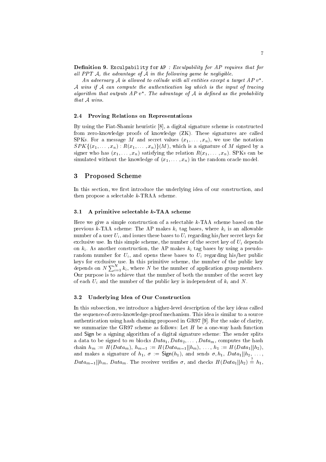**Definition 9.** Exculpability for AP : Exculpability for AP requires that for all PPT A, the advantage of A in the following game be negligible.

An adversary  $A$  is allowed to collude with all entities except a target AP  $v^*$ . A wins if A can compute the authentication log which is the input of tracing algorithm that outputs  $AP$  v<sup>\*</sup>. The advantage of A is defined as the probability that A wins.

#### **Proving Relations on Representations** 2.4

By using the Fiat-Shamir heuristic [8], a digital signature scheme is constructed from zero-knowledge proofs of knowledge (ZK). These signatures are called SPKs. For a message M and secret values  $(x_1, \ldots, x_n)$ , we use the notation  $SPK\{(x_1,\ldots,x_n): R(x_1,\ldots,x_n)\}(M)$ , which is a signature of M signed by a signer who has  $(x_1, \ldots, x_n)$  satisfying the relation  $R(x_1, \ldots, x_n)$ . SPKs can be simulated without the knowledge of  $(x_1, \ldots, x_n)$  in the random oracle model.

#### **Proposed Scheme** 3

In this section, we first introduce the underlying idea of our construction, and then propose a selectable  $k$ -TRAA scheme.

#### $3.1$ A primitive selectable k-TAA scheme

Here we give a simple construction of a selectable k-TAA scheme based on the previous k-TAA scheme: The AP makes  $k_i$  tag bases, where  $k_i$  is an allowable number of a user  $U_i$ , and issues these bases to  $U_i$  regarding his/her secret keys for exclusive use. In this simple scheme, the number of the secret key of  $U_i$  depends on  $k_i$ . As another construction, the AP makes  $k_i$  tag bases by using a pseudorandom number for  $U_i$ , and opens these bases to  $U_i$  regarding his/her public keys for exclusive use. In this primitive scheme, the number of the public key depends on  $N \sum_{i=1}^{N} k_i$ , where N be the number of application group members. Our purpose is to achieve that the number of both the number of the secret key of each  $U_i$  and the number of the public key is independent of  $k_i$  and N.

#### **Underlying Idea of Our Construction**  $3.2$

In this subsection, we introduce a higher-level description of the key ideas called the sequence-of-zero-knowledge-proof mechanism. This idea is similar to a source authentication using hash chaining proposed in GR97 [9]. For the sake of clarity, we summarize the GR97 scheme as follows: Let  $H$  be a one-way hash function and Sign be a signing algorithm of a digital signature scheme: The sender splits a data to be signed to m blocks  $Data_1, Data_2, \ldots, Data_m$ , computes the hash chain  $h_m := H(Data_m), h_{m-1} := H(Data_{m-1}||h_m), \ldots, h_1 := H(Data_1||h_2),$ and makes a signature of  $h_1, \sigma := \text{Sign}(h_1)$ , and sends  $\sigma, h_1, Data_1 || h_2, \ldots,$  $Data_{m-1} || h_m$ ,  $Data_m$ . The receiver verifies  $\sigma$ , and checks  $H(Data_1 || h_2) = h_1$ ,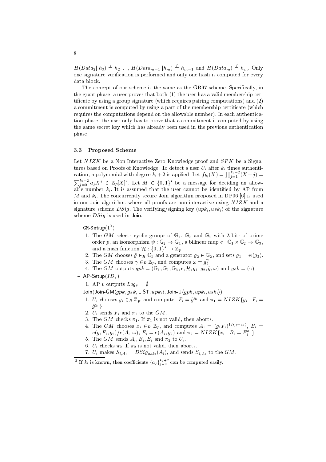$H(Data_2||h_3) \stackrel{?}{=} h_2 \ldots$ ,  $H(Data_{m-1}||h_m) \stackrel{?}{=} h_{m-1}$  and  $H(Data_m) \stackrel{?}{=} h_m$ . Only one signature verification is performed and only one hash is computed for every data block.

The concept of our scheme is the same as the GR97 scheme. Specifically, in the grant phase, a user proves that both (1) the user has a valid membership certificate by using a group signature (which requires pairing computations) and (2) a commitment is computed by using a part of the membership certificate (which requires the computations depend on the allowable number). In each authentication phase, the user only has to prove that a commitment is computed by using the same secret key which has already been used in the previous authentication phase.

#### $\bf 3.3$ **Proposed Scheme**

Let  $NIZK$  be a Non-Interactive Zero-Knowledge proof and  $SPK$  be a Signatures based on Proofs of Knowledge. To detect a user  $U_i$  after  $k_i$  times authentication, a polynomial with degree  $k_i + 2$  is applied. Let  $f_{k_i}(X) = \prod_{j=1}^{k_i+2} (X + j) =$  $\sum_{j=0}^{k_i+2} a_j X^j \in \mathbb{Z}_p[X]^2$ . Let  $M \in \{0,1\}^*$  be a message for deciding an allowable number  $k_i$ . It is assumed that the user cannot be identified by AP from M and  $k_i$ . The concurrently secure Join algorithm proposed in DP06 [6] is used in our Join algorithm, where all proofs are non-interactive using NIZK and a signature scheme  $DSig$ . The verifying/signing key  $(upk_i,usk_i)$  of the signature scheme  $DSig$  is used in Join.

- GM-Setup $(1^{\lambda})$ 
	- 1. The GM selects cyclic groups of  $\mathbb{G}_1$ ,  $\mathbb{G}_2$  and  $\mathbb{G}_3$  with  $\lambda$ -bits of prime order p, an isomorphism  $\psi : \mathbb{G}_2 \to \mathbb{G}_1$ , a bilinear map  $e : \mathbb{G}_1 \times \mathbb{G}_2 \to \mathbb{G}_3$ , and a hash function  $\mathcal{H}: \{0,1\}^* \to \mathbb{Z}_p$ .
	- 2. The GM chooses  $\tilde{g} \in_R \mathbb{G}_1$  and a generator  $g_2 \in \mathbb{G}_2$ , and sets  $g_1 = \psi(g_2)$ .
	- 3. The GM chooses  $\gamma \in_R \mathbb{Z}_p$ , and computes  $\omega = g_2^{\gamma}$ .
	- 4. The GM outputs  $gpk = (\mathbb{G}_1, \mathbb{G}_2, \mathbb{G}_3, e, \mathcal{H}, g_1, g_2, \tilde{g}, \omega)$  and  $gsk = (\gamma)$ .
- $-$  AP-Setup $(ID_v)$ 
	- 1. AP v outputs  $Log_v = \emptyset$ .
- Join(Join-GM $\langle gpk, gsk, \text{LIST}, upk_i \rangle$ , Join-U $\langle gpk, upk_i, usk_i \rangle$ )
	- 1.  $U_i$  chooses  $y_i \in_R \mathbb{Z}_p$ , and computes  $F_i = \tilde{g}^{y_i}$  and  $\pi_1 = NIZK\{y_i : F_i =$  $\tilde{g}^{y_i}$ .
	- 2.  $U_i$  sends  $F_i$  and  $\pi_1$  to the  $GM$ .
	- 3. The GM checks  $\pi_1$ . If  $\pi_1$  is not valid, then aborts.
	- 4. The GM chooses  $x_i \in_R \mathbb{Z}_p$ , and computes  $A_i = (g_1 F_i)^{1/(\gamma + x_i)}$ ,  $B_i =$  $e(g_1F_i, g_2)/e(A_i, \omega), E_i = e(A_i, g_2)$  and  $\pi_2 = NIZK\{x_i : B_i = E_i^{x_i}\}.$
	- 5. The GM sends  $A_i, B_i, E_i$  and  $\pi_2$  to  $U_i$ .
	- 6.  $U_i$  checks  $\pi_2$ . If  $\pi_2$  is not valid, then aborts.
	- 7.  $U_i$  makes  $S_{i,A_i} = DSig_{usk_i}(A_i)$ , and sends  $S_{i,A_i}$  to the  $GM$ .

<sup>&</sup>lt;sup>2</sup> If  $k_i$  is known, then coefficients  $\{a_j\}_{i=0}^{k_i+2}$  can be computed easily.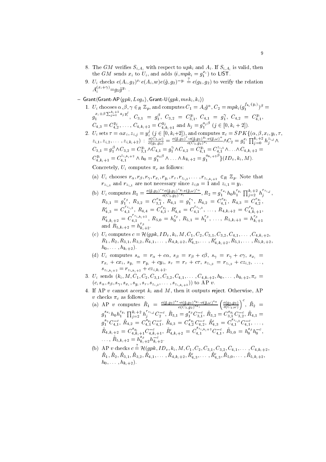- 8. The GM verifies  $S_{i,A_i}$  with respect to up $k_i$  and  $A_i$ . If  $S_{i,A_i}$  is valid, then the GM sends  $x_i$  to  $U_i$ , and adds  $(i, mpk_i = g_1^{x_i})$  to LIST.
- 9.  $U_i$  checks  $e(A_i, g_2)^{x_i}e(A_i, w)e(\tilde{g}, g_2)^{-y_i} \stackrel{?}{=} e(g_1, g_2)$  to verify the relation  $A_i^{(x_i + \gamma)} = q_1 \tilde{q}^{y_i}$ .
- Grant (Grant-AP  $\langle gpk, Log_v \rangle$ , Grant-U $\langle gpk, msk_i, k_i \rangle$ )
	- 1.  $U_i$  chooses  $\alpha, \beta, \gamma \in_R \mathbb{Z}_p$ , and computes  $C_1 = A_i \tilde{g}^\alpha$ ,  $C_2 = m p k_i (g_1^{f_{k_i}(y_i)})^\beta =$  $C_{4,3} = C_{4,2}^{y_i}, \quad C_{4,k+2} = C_{4,k+1}^{y_j} \text{ and } b_j = g_1^{a_j} \quad C_{4,2} = C_{4,1}^{y_i},$ <br>  $C_{4,3} = C_{4,2}^{y_j}, \quad C_{4,k+2} = C_{4,k+1}^{y_j} \text{ and } b_j = g_1^{a_j} \quad (j \in [0, k_i + 2]).$
	- 2.  $U_i$  sets  $\tau = \alpha x_i$ ,  $z_{i,j} = y_i^j$   $(j \in [0, k_i+2])$ , and computes  $\pi_c = SPK\{(\alpha, \beta, x_i, y_i, \tau, z_{i,1}, z_{i,2}, \dots, z_{i,k_i+2}) : \frac{e(C_1,\omega)}{e(g_1,g_2)} = \frac{e(\bar{g},g_2)^{T} \cdot e(\bar{g},g_2)^{y_i} \cdot e(\bar{g},\omega)^{\alpha}}{e(C_1,g_2)^{x_i}} \wedge C_2 = g_1^{x_i} \prod_{j=0}^{k_i+2} h_j$  $C_{3,1} = g_1^{\beta} \wedge C_{3,2} = C_{3,1}^{y_i} \wedge C_{4,1} = g_1^{\gamma} \wedge C_{4,2} = C_{4,1}^{y_i} = C_{4,1}^{z_{i,1}} \wedge \ldots \wedge C_{4,k_i+2} = C_{4,k_i+1}^{y_i} = C_{4,1}^{z_{i,k_i+2}} \wedge h_0 = g_1^{a_0 \beta} \wedge \ldots \wedge h_{k_i+2} = g_1^{a_{k_i+2} \beta} (ID_v, k_i, M).$

Concretely,  $U_i$  computes  $\pi_c$  as follows:

- (a)  $U_i$  chooses  $r_{\alpha}, r_{\beta}, r_{\gamma}, r_{x_i}, r_{y_i}, r_{\tau}, r_{z_{i,2}}, \ldots, r_{z_{i,k_i+2}} \in_R \mathbb{Z}_p$ . Note that  $r_{z_{i,0}}$  and  $r_{z_{i,1}}$  are not necessary since  $z_{i,0}=1$  and  $z_{i,1}=y_i$ .
- (b)  $U_i$  computes  $R_1 = \frac{e(\bar{g}, g_2)^{r} r e(\bar{g}, g_2)^{r} y_i e(\bar{g}, \omega)^{r} \alpha}{e(C_1, g_2)^{r} x_i}, R_2 = g_1^{r_x} i h_0 h_1^{r} i \prod_{j=2}^{k_i+2} h_j^{r_{z_{i,j}}}$ <br>  $R_{3,1} = g_1^{r_\beta}, R_{3,2} = C_{3,1}^{r_{y_i}}, R_{4,1} = g_1^{r_\gamma}, R_{4,2} = C_{4,1}^{r_{y_i}}, R_{4,3} = C_{4,2}^{r_{y_i}},$  $R'_{4,3} = C^{r_{z_{i,2}}}_{4,1}$ ,  $R_{4,4} = C^{r_{y_{i}}}_{4,3}$ ,  $R'_{4,4} = C^{r_{z_{i,3}}}_{4,1}$ , ...,  $R_{4,k_{i+2}} = C^{r_{y_{i}}}_{4,k_{i+1}}$  $R'_{4,k_{i}+2} = C^{r_{z_{i,k_{i}+2}}}_{4,1}, R_{5,0} = h^{r_{\beta}}_{0}, R_{5,1} = h^{r_{\beta}}_{1}, \ldots, R_{5,k_{i}+1} = h^{r_{\beta}}_{k_{i}+1}$ and  $R_{5,k_{i}+2} = h_{k_{i}+2}^{r_{\beta}}$
- (c)  $U_i$  computes  $c = \mathcal{H}(gpk, ID_v, k_i, M, C_1, C_2, C_{3,1}, C_{3,2}, C_{4,1}, \ldots, C_{4,k_i+2},$  $R_1, R_2, R_{3,1}, R_{3,2}, R_{4,1}, \ldots, R_{4,k_i+2}, R'_{4,3}, \ldots, R'_{4,k_i+2}, R_{5,1}, \ldots, R_{5,k_i+2},$  $h_0, \ldots, h_{k_i+2}).$
- (d)  $U_i$  computes  $s_\alpha = r_\alpha + c\alpha$ ,  $s_\beta = r_\beta + c\beta$ ,  $s_\gamma = r_\gamma + c\gamma$ ,  $s_{x_i} =$  $r_{x_i} + cx_i, s_{y_i} = r_{y_i} + cy_i, s_{\tau} = r_{\tau} + c\tau, s_{z_{i,2}} = r_{z_{i,2}} + cz_{i,2}, \ldots,$  $s_{z_{i,k_i+2}} = r_{z_{i,k_i+2}} + cz_{i,k_i+2}.$
- 3.  $U_i$  sends  $(k_i, M, C_1, C_2, C_{3,1}, C_{3,2}, C_{4,1}, \ldots, C_{4,k_i+2}, h_0, \ldots, h_{k_i+2}, \pi_c)$  $(c, s_{\alpha}, s_{\beta}, s_{\gamma}, s_{x_i}, s_{y_i}, s_{\tau}, s_{z_{i,2}}, \ldots, s_{z_{i,k_i+2}}))$  to AP v.
- 4. If AP v cannot accept  $k_i$  and M, then it outputs reject. Otherwise, AF v checks  $\pi_c$  as follows:
	- (a) AP v computes  $\tilde{R}_1 = \frac{e(\bar{g}, g_2)^{s} \tau \cdot e(\bar{g}, g_2)^{s} y_i \cdot e(\bar{g}, \omega)^{s} \alpha}{e(C_1, g_2)^{s} x_i} \left(\frac{e(g_1, g_2)}{e(C_1, \omega)}\right)^c$ ,  $\tilde{R}_2 =$  $e^{(C_1,g_2)^{*x_i}}$ <br>  $g_1^{s_1}h_0h_1^{n_{i}}\prod_{j=2}^{k_i+2}h_j^{r_{i,j}}C_2^{-c}, \tilde{R}_{3,1} = g_1^{s_{\beta}}C_{3,1}^{-c}, \tilde{R}_{3,2} = C_{3,1}^{s_{\gamma_i}}C_{3,2}^{-c}, \tilde{R}_{4,1} =$ <br>  $g_1^{s_1}C_{4,1}^{-c}, \tilde{R}_{4,2} = C_{4,1}^{s_{\gamma_i}}C_{4,1}^{-c}, \tilde{R}_{4,3} = C_{4,2}^{s_{\gamma_i}}C_{4,2$
	- (b) AP v checks  $c \stackrel{?}{=} \mathcal{H}(gpk, ID_v, k_i, M, C_1, C_2, C_{3,1}, C_{3,2}, C_{4,1}, \ldots, C_{4,k_i+2},$  $\tilde{R}_1, \tilde{R}_2, \tilde{R}_{3,1}, \tilde{R}_{3,2}, \tilde{R}_{4,1}, \ldots, \tilde{R}_{4,k_i+2}, \tilde{R}_{4,3}', \ldots, \tilde{R}_{4,3}', \tilde{R}_{5,0}, \ldots, \tilde{R}_{5,k_i+2},$  $h_0, \ldots, h_{k_i+2}).$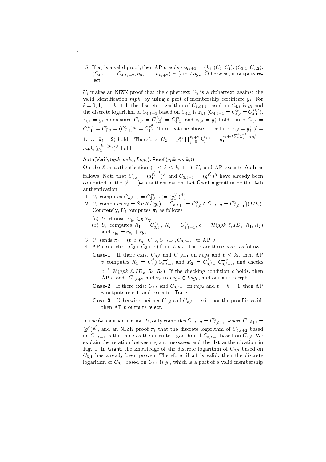5. If  $\pi_c$  is a valid proof, then AP v adds  $reg_{d+1} = \{k_i, (C_1, C_2), (C_{3,1}, C_{3,2}),\}$  $(C_{4,1},\ldots,C_{4,k_i+2},h_0,\ldots,h_{k_i+2}),\pi_c\}$  to  $Log_v$ . Otherwise, it outputs reject.

 $U_i$  makes an NIZK proof that the ciphertext  $C_2$  is a ciphertext against the valid identification  $mpk_i$  by using a part of membership certificate  $y_i$ . For  $\ell = 0, 1, ..., k_i + 1$ , the discrete logarithm of  $C_{4,\ell+1}$  based on  $C_{4,\ell}$  is  $y_i$  and<br>the discrete logarithm of  $C_{4,\ell+1}$  based on  $C_{4,1}$  is  $z_{i,\ell}$  ( $C_{4,\ell+1} = C_{4,\ell}^{y_i} = C_{4,1}^{z_{i,\ell}}$ ).<br> $z_{i,1} = y_i$  holds since  $C_{4,$  $C_{4,1}^{z_{i,1}} = C_{4,2}^{y_i} = (C_{4,1}^{y_i})^{y_i} = C_{4,1}^{y_i^2}$ . To repeat the above procedure,  $z_{i,\ell} = y_i^{\ell}$  ( $\ell =$ 1,...,  $k_i + 2$ ) holds. Therefore,  $C_2 = g_1^{x_i} \prod_{j=0}^{k_i+2} h_j^{z_{i,j}} = g_1^{x_i + \beta \sum_{j=0}^{k_i+2} a_j y_i^j} =$  $mpk_i(q_1^{f_{k_i}(y_i)})^{\beta}$  hold.

 $-$  Auth(Verify $\langle gpk, ask_v, Log_v \rangle$ , Proof $\langle gpk, msk_i \rangle$ )

On the  $\ell$ -th authentication  $(1 \leq \ell \leq k_i + 1)$ ,  $U_i$  and AP execute Auth as follows: Note that  $C_{3,\ell} = (g_1^{\nu_{\ell}^{\ell-1}})^{\beta}$  and  $C_{3,\ell+1} = (g_1^{\nu_{\ell}^{\ell}})^{\beta}$  have already been computed in the  $(\ell-1)$ -th authentication. Let Grant algorithm be the 0-th authentication.

- 
- 1.  $U_i$  computes  $C_{3,\ell+2} = C_{3,\ell+1}^{y_i} (= (g_1^{y_i^{\ell}})^{\beta})$ .<br>
2.  $U_i$  computes  $\pi_{\ell} = SPK\{(y_i) : C_{3,\ell+1} = C_{3,\ell}^{y_i} \wedge C_{3,\ell+2} = C_{3,\ell+1}^{y_i}\} (ID_v)$ .<br>
Concretely,  $U_i$  computes  $\pi_{\ell}$  as follows:
	-
	- (a)  $U_i$  chooses  $r_{y_i} \in_R \mathbb{Z}_p$ .<br>
	(b)  $U_i$  computes  $R_1 = C_{3,\ell}^{r_{y_i}}$ ,  $R_2 = C_{3,\ell+1}^{r_{y_i}}$ ,  $c = \mathcal{H}(gpk, \ell, ID_v, R_1, R_2)$ and  $s_{y_i} = r_{y_i} + cy_i$ .
- 3.  $U_i$  sends  $\pi_{\ell} = (\ell, c, s_{y_i}, C_{3,\ell}, C_{3,\ell+1}, C_{3,\ell+2})$  to AP v.
- 4. AP v searches  $(C_{3,\ell}, C_{3,\ell+1})$  from  $Log_v$ . There are three cases as follows: **Case-1**: If there exist  $C_{3,\ell}$  and  $C_{3,\ell+1}$  on reg<sub>d</sub> and  $\ell \leq k_i$ , then AP<br>v computes  $\tilde{R}_1 = C_{3,\ell}^{s_{y_i}} C_{3,\ell+1}^{-c}$  and  $\tilde{R}_2 = C_{3,\ell+1}^{s_{y_i}} C_{3,\ell+2}^{-c}$ , and checks  $c \stackrel{?}{=} \mathcal{H}(gpk, \ell, ID_v, \tilde{R}_1, \tilde{R}_2)$ . If the checking condition c holds, then AP v adds  $C_{3,\ell+2}$  and  $\pi_{\ell}$  to  $reg_d \in Log_v$ , and outputs accept.
	- **Case-2**: If there exist  $C_{3,\ell}$  and  $C_{3,\ell+1}$  on reg<sub>d</sub> and  $\ell = k_i + 1$ , then AP  $v$  outputs reject, and executes Trace.
	- **Case-3**: Otherwise, neither  $C_{3,\ell}$  and  $C_{3,\ell+1}$  exist nor the proof is valid, then AP  $v$  outputs reject.

In the  $\ell$ -th authentication,  $U_i$  only computes  $C_{3,\ell+2} = C_{3,\ell+1}^{y_i}$ , where  $C_{3,\ell+1} =$  $(g_1^{\beta})^{y_i^{\ell}}$ , and an NIZK proof  $\pi_{\ell}$  that the discrete logarithm of  $C_{3,\ell+2}$  based on  $C_{3,\ell+1}$  is the same as the discrete logarithm of  $C_{3,\ell+1}$  based on  $C_{3,\ell}$ . We explain the relation between grant messages and the 1st authentication in Fig. 1. In Grant, the knowledge of the discrete logarithm of  $C_{3,2}$  based on  $C_{3,1}$  has already been proven. Therefore, if  $\pi 1$  is valid, then the discrete logarithm of  $C_{3,3}$  based on  $C_{3,2}$  is  $y_i$ , which is a part of a valid membership

 $10$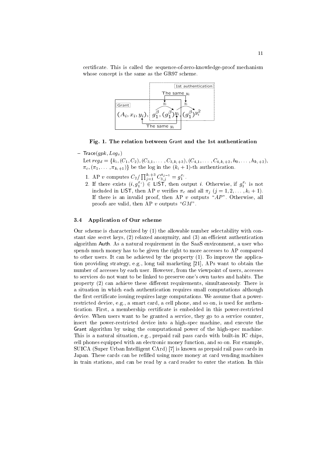certificate. This is called the sequence-of-zero-knowledge-proof mechanism whose concept is the same as the GR97 scheme.



Fig. 1. The relation between Grant and the 1st authentication

 $-$  Trace(gpk,  $Log_v$ )

Let  $reg_d = \{k_i, (C_1, C_2), (C_{3,1}, \ldots, C_{3,k_i+3}), (C_{4,1}, \ldots, C_{4,k_i+2}, h_0, \ldots, h_{k_i+2}),\}$  $\pi_c, (\pi_1, \ldots, \pi_{k_i+1})\}$  be the log in the  $(k_i + 1)$ -th authentication.

- 
- 1. AP v computes  $C_2 / \prod_{j=1}^{k_i+3} C_{3,j}^{a_{j-1}} = g_1^{x_i}$ .<br>2. If there exists  $(i, g_1^{x_i}) \in \textsf{LST}$ , then output *i*. Otherwise, if  $g_1^{x_i}$  is not included in LIST, then AP v verifies  $\pi_c$  and all  $\pi_j$   $(j = 1, 2, \ldots, k_i + 1)$ . If there is an invalid proof, then AP  $v$  outputs " $AP$ ". Otherwise, all proofs are valid, then AP v outputs " $GM$ ".

#### 3.4 **Application of Our scheme**

Our scheme is characterized by  $(1)$  the allowable number selectability with constant size secret keys,  $(2)$  relaxed anonymity, and  $(3)$  an efficient authentication algorithm Auth. As a natural requirement in the SaaS environment, a user who spends much money has to be given the right to more accesses to AP compared to other users. It can be achieved by the property (1). To improve the application providing strategy, e.g., long tail marketing [21], APs want to obtain the number of accesses by each user. However, from the viewpoint of users, accesses to services do not want to be linked to preserve one's own tastes and habits. The property (2) can achieve these different requirements, simultaneously. There is a situation in which each authentication requires small computations although the first certificate issuing requires large computations. We assume that a powerrestricted device, e.g., a smart card, a cell phone, and so on, is used for authentication. First, a membership certificate is embedded in this power-restricted device. When users want to be granted a service, they go to a service counter, insert the power-restricted device into a high-spec machine, and execute the Grant algorithm by using the computational power of the high-spec machine. This is a natural situation, e.g., prepaid rail pass cards with built-in IC chips, cell phones equipped with an electronic money function, and so on. For example, SUICA (Super Urban Intelligent CArd) [7] is known as prepaid rail pass cards in Japan. These cards can be refilled using more money at card vending machines in train stations, and can be read by a card reader to enter the station. In this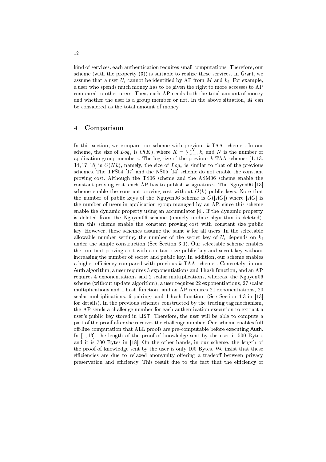kind of services, each authentication requires small computations. Therefore, our scheme (with the property  $(3)$ ) is suitable to realize these services. In Grant, we assume that a user  $U_i$  cannot be identified by AP from M and  $k_i$ . For example, a user who spends much money has to be given the right to more accesses to AP compared to other users. Then, each AP needs both the total amount of money and whether the user is a group member or not. In the above situation,  $M$  can be considered as the total amount of money.

#### Comparison  $\overline{\mathbf{4}}$

In this section, we compare our scheme with previous  $k$ -TAA schemes. In our scheme, the size of  $Log_v$  is  $O(K)$ , where  $K = \sum_{i=1}^{N} k_i$  and N is the number of application group members. The log size of the previous  $k$ -TAA schemes [1, 13, 14, 17, 18 is  $O(Nk)$ , namely, the size of  $Log<sub>v</sub>$  is similar to that of the previous schemes. The TFS04 [17] and the NS05 [14] scheme do not enable the constant proving cost. Although the TS06 scheme and the ASM06 scheme enable the constant proving cost, each AP has to publish  $k$  signatures. The Nguyen06 [13] scheme enable the constant proving cost without  $O(k)$  public keys. Note that the number of public keys of the Nguyen06 scheme is  $O(|AG|)$  where  $|AG|$  is the number of users in application group managed by an AP, since this scheme enable the dynamic property using an accumulator [4]. If the dynamic property is deleted from the Nguyen06 scheme (namely update algorithm is deleted), then this scheme enable the constant proving cost with constant size public key. However, these schemes assume the same  $k$  for all users. In the selectable allowable number setting, the number of the secret key of  $U_i$  depends on  $k_i$ under the simple construction (See Section 3.1). Our selectable scheme enables the constant proving cost with constant size public key and secret key without increasing the number of secret and public key. In addition, our scheme enables a higher efficiency compared with previous  $k$ -TAA schemes. Concretely, in our Auth algorithm, a user requires 3 exponentiations and 1 hash function, and an AP requires 4 exponentiations and 2 scalar multiplications, whereas, the Nguyen06 scheme (without update algorithm), a user requires 22 exponentiations, 27 scalar multiplications and 1 hash function, and an AP requires 21 exponentiations, 20 scalar multiplications, 6 pairings and 1 hash function. (See Section 4.3 in [13] for details). In the previous schemes constructed by the tracing tag mechanism, the AP sends a challenge number for each authentication execution to extract a user's public key stored in LIST. Therefore, the user will be able to compute a part of the proof after she receives the challenge number. Our scheme enables full off-line computation that ALL proofs are pre-computable before executing Auth. In  $[1,13]$ , the length of the proof of knowledge sent by the user is 500 Bytes, and it is 700 Bytes in [18]. On the other hands, in our scheme, the length of the proof of knowledge sent by the user is only 100 Bytes. We insist that these efficiencies are due to relaxed anonymity offering a tradeoff between privacy preservation and efficiency. This result due to the fact that the efficiency of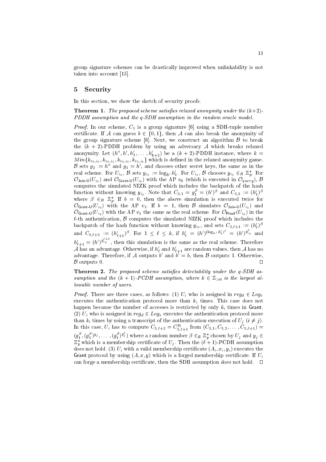group signature schemes can be drastically improved when unlinkability is not taken into account [15].

#### Security 5

In this section, we show the sketch of security proofs.

**Theorem 1.** The proposed scheme satisfies relaxed anonymity under the  $(k+2)$ -PDDH assumption and the q-SDH assumption in the random oracle model.

*Proof.* In our scheme,  $C_1$  is a group signature [6] using a SDH-tuple member certificate. If A can guess  $b \in \{0,1\}$ , then A can also break the anonymity of the group signature scheme [6]. Next, we construct an algorithm  $\beta$  to break the  $(k + 2)$ -PDDH problem by using an adversary A which breaks relaxed anonymity. Let  $(h'', h', h'_1, \ldots, h'_{k+2})$  be a  $(k+2)$ -PDDH instance, where  $k =$  $Min\{k_{v_0,i_0}, k_{v_0,i_1}, k_{v_1,i_0}, k_{v_1,i_1}\}\$  which is defined in the relaxed anonymity game. B sets  $g_2 := h''$  and  $g_1 = h'$ , and chooses other secret keys, the same as in the real scheme. For  $U_{i_0}$ ,  $\beta$  sets  $y_{i_0} := \log_{h'} h'_1$ . For  $U_{i_1}$ ,  $\beta$  chooses  $y_{i_1} \in_R \mathbb{Z}_p^*$ . For  $\mathcal{O}_{\text{Join-U}}(U_{i_0})$  and  $\mathcal{O}_{\text{Grant-U}}(U_{i_0})$  with the AP  $v_0$  (which is executed in  $\mathcal{O}_{\text{query}}$ ),  $\beta$ computes the simulated NIZK proof which includes the backpatch of the hash function without knowing  $y_{i_0}$ . Note that  $C_{3,1} = g_1^{\beta} = (h')^{\beta}$  and  $C_{3,2} := (h'_1)^{\beta}$ <br>where  $\beta \in_R \mathbb{Z}_p^*$ . If  $b = 0$ , then the above simulation is executed twice for  $\mathcal{O}_{\mathsf{Grant}\text{-}\mathsf{U}}(U_{i_0})$  with the AP  $v_1$ . If  $b = 1$ , then  $\mathcal B$  simulates  $\mathcal{O}_{\mathsf{Join}\text{-}\mathsf{U}}(U_{i_1})$  and  $\mathcal{O}_{\mathsf{Grant-}\mathsf{U}}(U_{i_1})$  with the AP  $v_1$  the same as the real scheme. For  $\mathcal{O}_{\mathsf{Proof}}(U_{i_0})$  in the  $\ell$ -th authentication,  $\beta$  computes the simulated NIZK proof which includes the backpatch of the hash function without knowing  $y_{i_0}$ , and sets  $C_{3,\ell+1} := (h'_\ell)^\beta$ and  $C_{3,\ell+2} := (h'_{\ell+1})^{\beta}$ . For  $1 \leq \ell \leq k$ , if  $h'_{\ell} = (h')^{(\log_{h'} h'_1)^{\ell}} = (h')^{y_{i_0}^{\ell}}$  and  $h'_{\ell+1} = (h')^{y_{i_0}^{\ell+1}}$ , then this simulation is the same as the real scheme. Therefore A has an advantage. Otherwise, if  $h'_\ell$  and  $h'_{\ell+1}$  are random values, then A has no advantage. Therefore, if A outputs b' and  $b' = b$ , then B outputs 1. Otherwise,  $\beta$  outputs 0.  $\Box$ 

**Theorem 2.** The proposed scheme satisfies detectability under the q-SDH assumption and the  $(k + 1)$ -PCDH assumption, where  $k \in \mathbb{Z}_{>0}$  is the largest allowable number of users.

*Proof.* There are three cases, as follows: (1)  $U_i$  who is assigned in  $reg_d \in Log_v$ executes the authentication protocol more than  $k_i$  times. This case does not happen because the number of accesses is restricted by only  $k_i$  times in Grant. (2)  $U_i$  who is assigned in  $req_d \in Log_n$  executes the authentication protocol more than  $k_i$  times by using a transcript of the authentication execution of  $U_j$   $(i \neq j)$ . In this case,  $U_i$  has to compute  $C_{3,\ell+2} = C_{3,\ell+1}^{y_j}$  from  $(C_{3,1}, C_{3,2}, \ldots, C_{3,\ell+1}) =$  $(g_1^{\beta}, (g_1^{\beta})^{y_j}, \dots, (g_1^{\beta})^{y_j^{\ell}})$  where a random number  $\beta \in_R \mathbb{Z}_p^*$  chosen by  $U_j$  and  $y_j \in \mathbb{Z}_p^*$  which is a membership certificate of  $U_j$ . Then the  $(\ell + 1)$ -PCDH assumption does not hold. (3)  $U_i$  with a valid membership certificate  $(A_i, x_i, y_i)$  executes the Grant protocol by using  $(A, x, y)$  which is a forged membership certificate. If  $U_i$ can forge a membership certificate, then the SDH assumption does not hold.  $\square$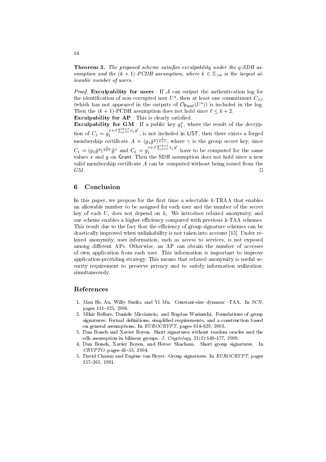**Theorem 3.** The proposed scheme satisfies exculpability under the q-SDH assumption and the  $(k + 1)$ -PCDH assumption, where  $k \in \mathbb{Z}_{\geq 0}$  is the largest allowable number of users.

*Proof.* Exculpability for users : If  $A$  can output the authentication log for the identification of non-corrupted user  $U^*$ , then at least one commitment  $C_{3,\ell}$ (which has not appeared in the outputs of  $\mathcal{O}_{\mathsf{Proof}}(U^*)$ ) is included in the log. Then the  $(k + 1)$ -PCDH assumption does not hold since  $\ell \leq k + 2$ .

**Exculpability for AP** : This is clearly satisfied.

**Exculpability for GM**: If a public key  $g_1^x$ , where the result of the decryption of  $C_2 = g_1^{x+\beta \sum_{j=0}^{k+2} a_j y^j}$ , is not included in LIST, then there exists a forged membership certificate  $A = (g_1 \tilde{g}^y)^{\frac{1}{x+\gamma}}$ , where  $\gamma$  is the group secret key, since  $C_1 = (g_1 \tilde{g}^y)^{\frac{1}{x+\gamma}} \tilde{g}^{\alpha}$  and  $C_2 = g_1^{x+\beta \sum_{j=0}^{k+2} a_j y^j}$  have to be computed for the same values x and y on Gr valid membership certificate  $A$  can be computed without being issued from the  $GM.$  $\Box$ 

#### Conclusion 6

In this paper, we propose for the first time a selectable  $k$ -TRAA that enables an allowable number to be assigned for each user and the number of the secret key of each  $U_i$  does not depend on  $k_i$ . We introduce relaxed anonymity, and our scheme enables a higher efficiency compared with previous k-TAA schemes. This result due to the fact that the efficiency of group signature schemes can be drastically improved when unlinkability is not taken into account [15]. Under relaxed anonymity, user information, such as access to services, is not exposed among different APs. Otherwise, an AP can obtain the number of accesses of own application from each user. This information is important to improve application-providing strategy. This means that relaxed anonymity is useful security requirement to preserve privacy and to satisfy information utilization, simultaneously.

## References

- 1. Man Ho Au, Willy Susilo, and Yi Mu. Constant-size dynamic -TAA. In SCN, pages 111-125, 2006.
- 2. Mihir Bellare, Daniele Micciancio, and Bogdan Warinschi. Foundations of group signatures: Formal definitions, simplified requirements, and a construction based on general assumptions. In  $EUROCRYPT$ , pages 614-629, 2003.
- 3. Dan Boneh and Xavier Boyen. Short signatures without random oracles and the sdh assumption in bilinear groups. J. Cryptology,  $21(2):149-177$ , 2008.
- 4. Dan Boneh, Xavier Boyen, and Hovav Shacham. Short group signatures. In  $CRYPTO$ , pages 41-55, 2004.
- 5. David Chaum and Eugène van Heyst. Group signatures. In EUROCRYPT, pages  $257 - 265$ , 1991.